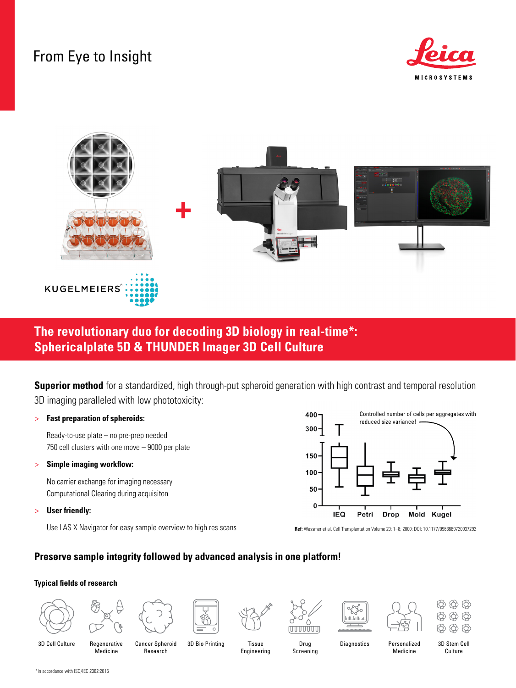# From Eye to Insight





# **The revolutionary duo for decoding 3D biology in real-time\*: Sphericalplate 5D & THUNDER Imager 3D Cell Culture**

**Superior method** for a standardized, high through-put spheroid generation with high contrast and temporal resolution 3D imaging paralleled with low phototoxicity:

#### > **Fast preparation of spheroids:**

Ready-to-use plate – no pre-prep needed 750 cell clusters with one move – 9000 per plate

> **Simple imaging workflow:** 

No carrier exchange for imaging necessary Computational Clearing during acquisiton

> **User friendly:**

Use LAS X Navigator for easy sample overview to high res scans



**Ref:** Wassmer et al. Cell Transplantation Volume 29: 1–8; 2000; DOI: 10.1177/0963689720937292

### **Preserve sample integrity followed by advanced analysis in one platform!**

#### **Typical fields of research**